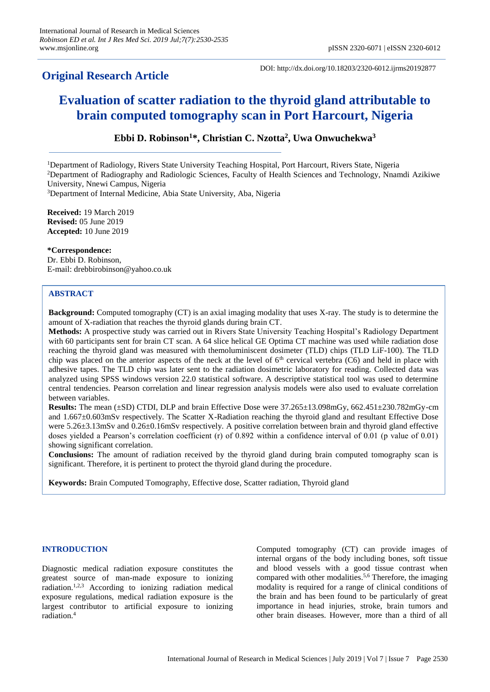## **Original Research Article**

DOI: http://dx.doi.org/10.18203/2320-6012.ijrms20192877

# **Evaluation of scatter radiation to the thyroid gland attributable to brain computed tomography scan in Port Harcourt, Nigeria**

**Ebbi D. Robinson<sup>1</sup>\*, Christian C. Nzotta<sup>2</sup> , Uwa Onwuchekwa<sup>3</sup>**

<sup>1</sup>Department of Radiology, Rivers State University Teaching Hospital, Port Harcourt, Rivers State, Nigeria <sup>2</sup>Department of Radiography and Radiologic Sciences, Faculty of Health Sciences and Technology, Nnamdi Azikiwe University, Nnewi Campus, Nigeria

<sup>3</sup>Department of Internal Medicine, Abia State University, Aba, Nigeria

**Received:** 19 March 2019 **Revised:** 05 June 2019 **Accepted:** 10 June 2019

**\*Correspondence:** Dr. Ebbi D. Robinson, E-mail: drebbirobinson@yahoo.co.uk

#### **Copyright:** © the author(s), publisher and licensee Medip Academy. This is an open-access article distributed under  $t_{\rm ADS1NAC1}$ **ABSTRACT**

**Background:** Computed tomography (CT) is an axial imaging modality that uses X-ray. The study is to determine the amount of X-radiation that reaches the thyroid glands during brain CT.

**Methods:** A prospective study was carried out in Rivers State University Teaching Hospital's Radiology Department with 60 participants sent for brain CT scan. A 64 slice helical GE Optima CT machine was used while radiation dose reaching the thyroid gland was measured with themoluminiscent dosimeter (TLD) chips (TLD LiF-100). The TLD chip was placed on the anterior aspects of the neck at the level of  $6<sup>th</sup>$  cervical vertebra (C6) and held in place with adhesive tapes. The TLD chip was later sent to the radiation dosimetric laboratory for reading. Collected data was analyzed using SPSS windows version 22.0 statistical software. A descriptive statistical tool was used to determine central tendencies. Pearson correlation and linear regression analysis models were also used to evaluate correlation between variables.

**Results:** The mean (±SD) CTDI, DLP and brain Effective Dose were 37.265±13.098mGy, 662.451±230.782mGy-cm and 1.667±0.603mSv respectively. The Scatter X-Radiation reaching the thyroid gland and resultant Effective Dose were 5.26 $\pm$ 3.13mSv and 0.26 $\pm$ 0.16mSv respectively. A positive correlation between brain and thyroid gland effective doses yielded a Pearson's correlation coefficient (r) of 0.892 within a confidence interval of 0.01 (p value of 0.01) showing significant correlation.

**Conclusions:** The amount of radiation received by the thyroid gland during brain computed tomography scan is significant. Therefore, it is pertinent to protect the thyroid gland during the procedure.

**Keywords:** Brain Computed Tomography, Effective dose, Scatter radiation, Thyroid gland

### **INTRODUCTION**

Diagnostic medical radiation exposure constitutes the greatest source of man-made exposure to ionizing radiation.<sup>1,2,3</sup> According to ionizing radiation medical exposure regulations, medical radiation exposure is the largest contributor to artificial exposure to ionizing radiation. 4

Computed tomography (CT) can provide images of internal organs of the body including bones, soft tissue and blood vessels with a good tissue contrast when compared with other modalities. 5,6 Therefore, the imaging modality is required for a range of clinical conditions of the brain and has been found to be particularly of great importance in head injuries, stroke, brain tumors and other brain diseases. However, more than a third of all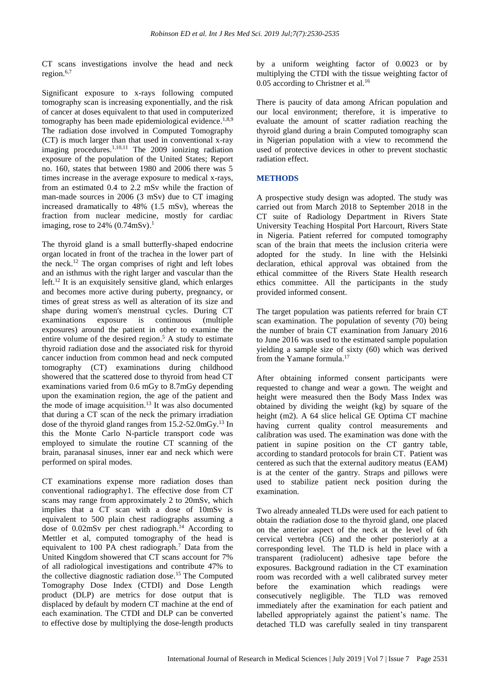CT scans investigations involve the head and neck region. 6,7

Significant exposure to x-rays following computed tomography scan is increasing exponentially, and the risk of cancer at doses equivalent to that used in computerized tomography has been made epidemiological evidence.<sup>1,8,9</sup> The radiation dose involved in Computed Tomography (CT) is much larger than that used in conventional x-ray imaging procedures.<sup>1,10,11</sup> The 2009 ionizing radiation exposure of the population of the United States; Report no. 160, states that between 1980 and 2006 there was 5 times increase in the average exposure to medical x-rays, from an estimated 0.4 to 2.2 mSv while the fraction of man-made sources in 2006 (3 mSv) due to CT imaging increased dramatically to 48% (1.5 mSv), whereas the fraction from nuclear medicine, mostly for cardiac imaging, rose to  $24\%$  (0.74mSv).<sup>1</sup>

The thyroid gland is a small butterfly-shaped endocrine organ located in front of the trachea in the lower part of the neck. <sup>12</sup> The organ comprises of right and left lobes and an isthmus with the right larger and vascular than the left. <sup>12</sup> It is an exquisitely sensitive gland, which enlarges and becomes more active during puberty, pregnancy, or times of great stress as well as alteration of its size and shape during women's menstrual cycles. During CT examinations exposure is continuous (multiple exposures) around the patient in other to examine the entire volume of the desired region. <sup>5</sup> A study to estimate thyroid radiation dose and the associated risk for thyroid cancer induction from common head and neck computed tomography (CT) examinations during childhood showered that the scattered dose to thyroid from head CT examinations varied from 0.6 mGy to 8.7mGy depending upon the examination region, the age of the patient and the mode of image acquisition. 13 It was also documented that during a CT scan of the neck the primary irradiation dose of the thyroid gland ranges from 15.2-52.0mGy. <sup>13</sup> In this the Monte Carlo N-particle transport code was employed to simulate the routine CT scanning of the brain, paranasal sinuses, inner ear and neck which were performed on spiral modes.

CT examinations expense more radiation doses than conventional radiography1. The effective dose from CT scans may range from approximately 2 to 20mSv, which implies that a CT scan with a dose of 10mSv is equivalent to 500 plain chest radiographs assuming a dose of 0.02mSv per chest radiograph. <sup>14</sup> According to Mettler et al, computed tomography of the head is equivalent to 100 PA chest radiograph.<sup>7</sup> Data from the United Kingdom showered that CT scans account for 7% of all radiological investigations and contribute 47% to the collective diagnostic radiation dose. <sup>15</sup> The Computed Tomography Dose Index (CTDI) and Dose Length product (DLP) are metrics for dose output that is displaced by default by modern CT machine at the end of each examination. The CTDI and DLP can be converted to effective dose by multiplying the dose-length products by a uniform weighting factor of 0.0023 or by multiplying the CTDI with the tissue weighting factor of 0.05 according to Christner et al.<sup>16</sup>

There is paucity of data among African population and our local environment; therefore, it is imperative to evaluate the amount of scatter radiation reaching the thyroid gland during a brain Computed tomography scan in Nigerian population with a view to recommend the used of protective devices in other to prevent stochastic radiation effect.

### **METHODS**

A prospective study design was adopted. The study was carried out from March 2018 to September 2018 in the CT suite of Radiology Department in Rivers State University Teaching Hospital Port Harcourt, Rivers State in Nigeria. Patient referred for computed tomography scan of the brain that meets the inclusion criteria were adopted for the study. In line with the Helsinki declaration, ethical approval was obtained from the ethical committee of the Rivers State Health research ethics committee. All the participants in the study provided informed consent.

The target population was patients referred for brain CT scan examination. The population of seventy (70) being the number of brain CT examination from January 2016 to June 2016 was used to the estimated sample population yielding a sample size of sixty (60) which was derived from the Yamane formula. 17

After obtaining informed consent participants were requested to change and wear a gown. The weight and height were measured then the Body Mass Index was obtained by dividing the weight (kg) by square of the height (m2). A 64 slice helical GE Optima CT machine having current quality control measurements and calibration was used. The examination was done with the patient in supine position on the CT gantry table, according to standard protocols for brain CT. Patient was centered as such that the external auditory meatus (EAM) is at the center of the gantry. Straps and pillows were used to stabilize patient neck position during the examination.

Two already annealed TLDs were used for each patient to obtain the radiation dose to the thyroid gland, one placed on the anterior aspect of the neck at the level of 6th cervical vertebra (C6) and the other posteriorly at a corresponding level. The TLD is held in place with a transparent (radiolucent) adhesive tape before the exposures. Background radiation in the CT examination room was recorded with a well calibrated survey meter before the examination which readings were consecutively negligible. The TLD was removed immediately after the examination for each patient and labelled appropriately against the patient's name. The detached TLD was carefully sealed in tiny transparent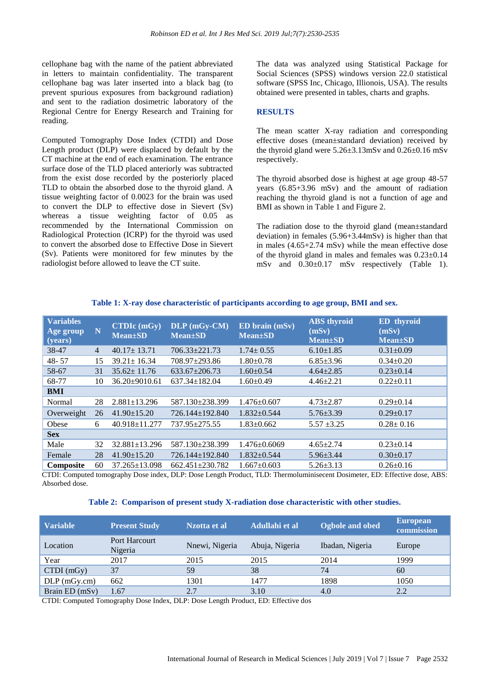cellophane bag with the name of the patient abbreviated in letters to maintain confidentiality. The transparent cellophane bag was later inserted into a black bag (to prevent spurious exposures from background radiation) and sent to the radiation dosimetric laboratory of the Regional Centre for Energy Research and Training for reading.

Computed Tomography Dose Index (CTDI) and Dose Length product (DLP) were displaced by default by the CT machine at the end of each examination. The entrance surface dose of the TLD placed anteriorly was subtracted from the exist dose recorded by the posteriorly placed TLD to obtain the absorbed dose to the thyroid gland. A tissue weighting factor of 0.0023 for the brain was used to convert the DLP to effective dose in Sievert (Sv) whereas a tissue weighting factor of 0.05 as recommended by the International Commission on Radiological Protection (ICRP) for the thyroid was used to convert the absorbed dose to Effective Dose in Sievert (Sv). Patients were monitored for few minutes by the radiologist before allowed to leave the CT suite.

The data was analyzed using Statistical Package for Social Sciences (SPSS) windows version 22.0 statistical software (SPSS Inc, Chicago, Illionois, USA). The results obtained were presented in tables, charts and graphs.

#### **RESULTS**

The mean scatter X-ray radiation and corresponding effective doses (mean±standard deviation) received by the thyroid gland were  $5.26\pm3.13$ mSv and  $0.26\pm0.16$  mSv respectively.

The thyroid absorbed dose is highest at age group 48-57 years (6.85+3.96 mSv) and the amount of radiation reaching the thyroid gland is not a function of age and BMI as shown in Table 1 and Figure 2.

The radiation dose to the thyroid gland (mean±standard deviation) in females (5.96+3.44mSv) is higher than that in males (4.65+2.74 mSv) while the mean effective dose of the thyroid gland in males and females was  $0.23 \pm 0.14$ mSv and 0.30±0.17 mSv respectively (Table 1).

| <b>Variables</b><br>Age group<br>(years) | N              | $CTDIc$ (mGy)<br>$Mean \pm SD$ | DLP (mGy-CM)<br>$Mean \pm SD$ | ED brain (mSv)<br>$Mean \pm SD$ | <b>ABS</b> thyroid<br>(mSv)<br><b>Mean</b> ±SD | <b>ED</b> thyroid<br>(mSv)<br><b>Mean</b> ±SD |
|------------------------------------------|----------------|--------------------------------|-------------------------------|---------------------------------|------------------------------------------------|-----------------------------------------------|
| 38-47                                    | $\overline{4}$ | $40.17 \pm 13.71$              | $706.33 + 221.73$             | $1.74 \pm 0.55$                 | $6.10 \pm 1.85$                                | $0.31 \pm 0.09$                               |
| $48 - 57$                                | 15             | $39.21 \pm 16.34$              | 708.97±293.86                 | $1.80+0.78$                     | $6.85 \pm 3.96$                                | $0.34 \pm 0.20$                               |
| 58-67                                    | 31             | $35.62 \pm 11.76$              | $633.67 \pm 206.73$           | $1.60 \pm 0.54$                 | $4.64 \pm 2.85$                                | $0.23 \pm 0.14$                               |
| 68-77                                    | 10             | $36.20 \pm 9010.61$            | $637.34 \pm 182.04$           | $1.60 \pm 0.49$                 | $4.46 \pm 2.21$                                | $0.22 \pm 0.11$                               |
| <b>BMI</b>                               |                |                                |                               |                                 |                                                |                                               |
| Normal                                   | 28             | $2.881 \pm 13.296$             | 587.130±238.399               | $1.476 \pm 0.607$               | $4.73 \pm 2.87$                                | $0.29 \pm 0.14$                               |
| Overweight                               | 26             | $41.90 \pm 15.20$              | 726.144±192.840               | $1.832 \pm 0.544$               | $5.76 \pm 3.39$                                | $0.29 \pm 0.17$                               |
| Obese                                    | 6              | 40.918±11.277                  | 737.95±275.55                 | $1.83 \pm 0.662$                | $5.57 \pm 3.25$                                | $0.28 \pm 0.16$                               |
| <b>Sex</b>                               |                |                                |                               |                                 |                                                |                                               |
| Male                                     | 32             | 32.881±13.296                  | 587.130±238.399               | $1.476 \pm 0.6069$              | $4.65 \pm 2.74$                                | $0.23 \pm 0.14$                               |
| Female                                   | 28             | $41.90 \pm 15.20$              | 726.144±192.840               | $1.832 \pm 0.544$               | $5.96 \pm 3.44$                                | $0.30 \pm 0.17$                               |
| <b>Composite</b>                         | 60             | $37.265 \pm 13.098$            | $662.451 \pm 230.782$         | $1.667 \pm 0.603$               | $5.26 \pm 3.13$                                | $0.26 \pm 0.16$                               |

#### **Table 1: X-ray dose characteristic of participants according to age group, BMI and sex.**

CTDI: Computed tomography Dose index, DLP: Dose Length Product, TLD: Thermoluminisecent Dosimeter, ED: Effective dose, ABS: Absorbed dose.

#### **Table 2: Comparison of present study X-radiation dose characteristic with other studies.**

| <b>Variable</b> | <b>Present Study</b>     | Nzotta et al   | Adullahi et al | Ogbole and obed | <b>European</b><br>commission |
|-----------------|--------------------------|----------------|----------------|-----------------|-------------------------------|
| Location        | Port Harcourt<br>Nigeria | Nnewi, Nigeria | Abuja, Nigeria | Ibadan, Nigeria | Europe                        |
| Year            | 2017                     | 2015           | 2015           | 2014            | 1999                          |
| $CTDI$ (mGy)    | 37                       | 59             | 38             | 74              | 60                            |
| $DLP$ (mGy.cm)  | 662                      | 1301           | 1477           | 1898            | 1050                          |
| Brain ED (mSv)  | 1.67                     | 2.7            | 3.10           | 4.0             | 2.2                           |

CTDI: Computed Tomography Dose Index, DLP: Dose Length Product, ED: Effective dos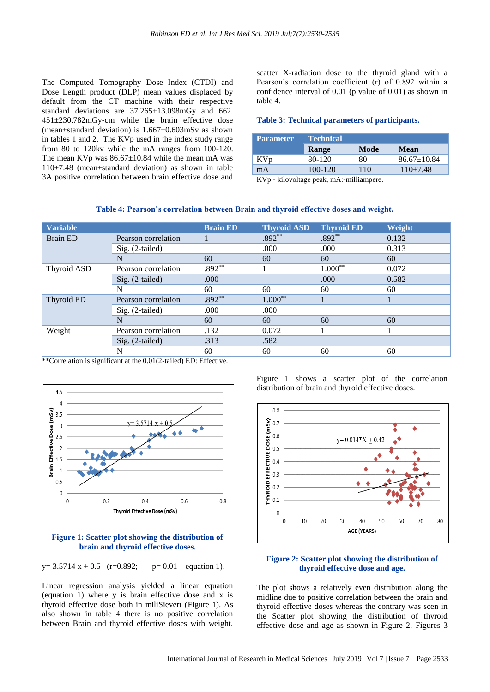The Computed Tomography Dose Index (CTDI) and Dose Length product (DLP) mean values displaced by default from the CT machine with their respective standard deviations are 37.265±13.098mGy and 662. 451±230.782mGy-cm while the brain effective dose (mean±standard deviation) is 1.667±0.603mSv as shown in tables 1 and 2. The KVp used in the index study range from 80 to 120kv while the mA ranges from 100-120. The mean KVp was  $86.67 \pm 10.84$  while the mean mA was 110±7.48 (mean±standard deviation) as shown in table 3A positive correlation between brain effective dose and scatter X-radiation dose to the thyroid gland with a Pearson's correlation coefficient (r) of 0.892 within a confidence interval of 0.01 (p value of 0.01) as shown in table 4.

### **Table 3: Technical parameters of participants.**

| <b>Parameter</b> | <b>Technical</b> |      |                   |  |  |
|------------------|------------------|------|-------------------|--|--|
|                  | Range            | Mode | <b>Mean</b>       |  |  |
| KVp              | 80-120           | 80   | $86.67 \pm 10.84$ |  |  |
| mA               | 100-120          | 110  | $110+7.48$        |  |  |

KVp:- kilovoltage peak, mA:-milliampere.

#### **Table 4: Pearson's correlation between Brain and thyroid effective doses and weight.**

| <b>Variable</b> |                     | <b>Brain ED</b> | <b>Thyroid ASD</b> | Thyroid ED | Weight |
|-----------------|---------------------|-----------------|--------------------|------------|--------|
| <b>Brain ED</b> | Pearson correlation |                 | $.892**$           | $.892**$   | 0.132  |
|                 | Sig. (2-tailed)     |                 | .000               | .000       | 0.313  |
|                 | N                   | 60              | 60                 | 60         | 60     |
| Thyroid ASD     | Pearson correlation | $.892**$        |                    | $1.000**$  | 0.072  |
|                 | $Sig. (2-tailed)$   | .000            |                    | .000       | 0.582  |
|                 | N                   | 60              | 60                 | 60         | 60     |
| Thyroid ED      | Pearson correlation | $.892**$        | $1.000**$          |            |        |
|                 | $Sig. (2-tailed)$   | .000            | .000               |            |        |
|                 | N                   | 60              | 60                 | 60         | 60     |
| Weight          | Pearson correlation | .132            | 0.072              |            |        |
|                 | $Sig. (2-tailed)$   | .313            | .582               |            |        |
|                 | N                   | 60              | 60                 | 60         | 60     |

\*\*Correlation is significant at the 0.01(2-tailed) ED: Effective.



#### **Figure 1: Scatter plot showing the distribution of brain and thyroid effective doses.**

 $y= 3.5714$  x + 0.5 (r=0.892; p= 0.01 equation 1).

Linear regression analysis yielded a linear equation (equation 1) where y is brain effective dose and x is thyroid effective dose both in miliSievert (Figure 1). As also shown in table 4 there is no positive correlation between Brain and thyroid effective doses with weight.

Figure 1 shows a scatter plot of the correlation distribution of brain and thyroid effective doses.



#### **Figure 2: Scatter plot showing the distribution of thyroid effective dose and age.**

The plot shows a relatively even distribution along the midline due to positive correlation between the brain and thyroid effective doses whereas the contrary was seen in the Scatter plot showing the distribution of thyroid effective dose and age as shown in Figure 2. Figures 3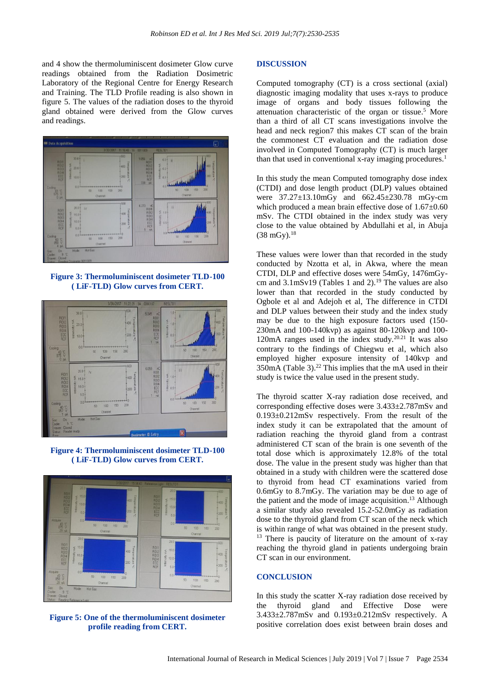and 4 show the thermoluminiscent dosimeter Glow curve readings obtained from the Radiation Dosimetric Laboratory of the Regional Centre for Energy Research and Training. The TLD Profile reading is also shown in figure 5. The values of the radiation doses to the thyroid gland obtained were derived from the Glow curves and readings.



**Figure 3: Thermoluminiscent dosimeter TLD-100 ( LiF-TLD) Glow curves from CERT.**



**Figure 4: Thermoluminiscent dosimeter TLD-100 ( LiF-TLD) Glow curves from CERT.**



**Figure 5: One of the thermoluminiscent dosimeter profile reading from CERT.**

#### **DISCUSSION**

Computed tomography (CT) is a cross sectional (axial) diagnostic imaging modality that uses x-rays to produce image of organs and body tissues following the attenuation characteristic of the organ or tissue. <sup>5</sup> More than a third of all CT scans investigations involve the head and neck region7 this makes CT scan of the brain the commonest CT evaluation and the radiation dose involved in Computed Tomography (CT) is much larger than that used in conventional x-ray imaging procedures. 1

In this study the mean Computed tomography dose index (CTDI) and dose length product (DLP) values obtained were 37.27±13.10mGy and 662.45±230.78 mGy-cm which produced a mean brain effective dose of 1.67±0.60 mSv. The CTDI obtained in the index study was very close to the value obtained by Abdullahi et al, in Abuja  $(38 \text{ mGy})$ .<sup>18</sup>

These values were lower than that recorded in the study conducted by Nzotta et al, in Akwa, where the mean CTDI, DLP and effective doses were 54mGy, 1476mGycm and  $3.1 \text{mSv19}$  (Tables 1 and 2).<sup>19</sup> The values are also lower than that recorded in the study conducted by Ogbole et al and Adejoh et al, The difference in CTDI and DLP values between their study and the index study may be due to the high exposure factors used (150- 230mA and 100-140kvp) as against 80-120kvp and 100- 120mA ranges used in the index study.<sup>20.21</sup> It was also contrary to the findings of Chiegwu et al, which also employed higher exposure intensity of 140kvp and  $350 \text{mA}$  (Table 3).<sup>22</sup> This implies that the mA used in their study is twice the value used in the present study.

The thyroid scatter X-ray radiation dose received, and corresponding effective doses were 3.433±2.787mSv and 0.193±0.212mSv respectively. From the result of the index study it can be extrapolated that the amount of radiation reaching the thyroid gland from a contrast administered CT scan of the brain is one seventh of the total dose which is approximately 12.8% of the total dose. The value in the present study was higher than that obtained in a study with children were the scattered dose to thyroid from head CT examinations varied from 0.6mGy to 8.7mGy. The variation may be due to age of the patient and the mode of image acquisition. <sup>13</sup> Although a similar study also revealed 15.2-52.0mGy as radiation dose to the thyroid gland from CT scan of the neck which is within range of what was obtained in the present study. <sup>13</sup> There is paucity of literature on the amount of x-ray reaching the thyroid gland in patients undergoing brain CT scan in our environment.

#### **CONCLUSION**

In this study the scatter X-ray radiation dose received by the thyroid gland and Effective Dose were 3.433±2.787mSv and 0.193±0.212mSv respectively. A positive correlation does exist between brain doses and